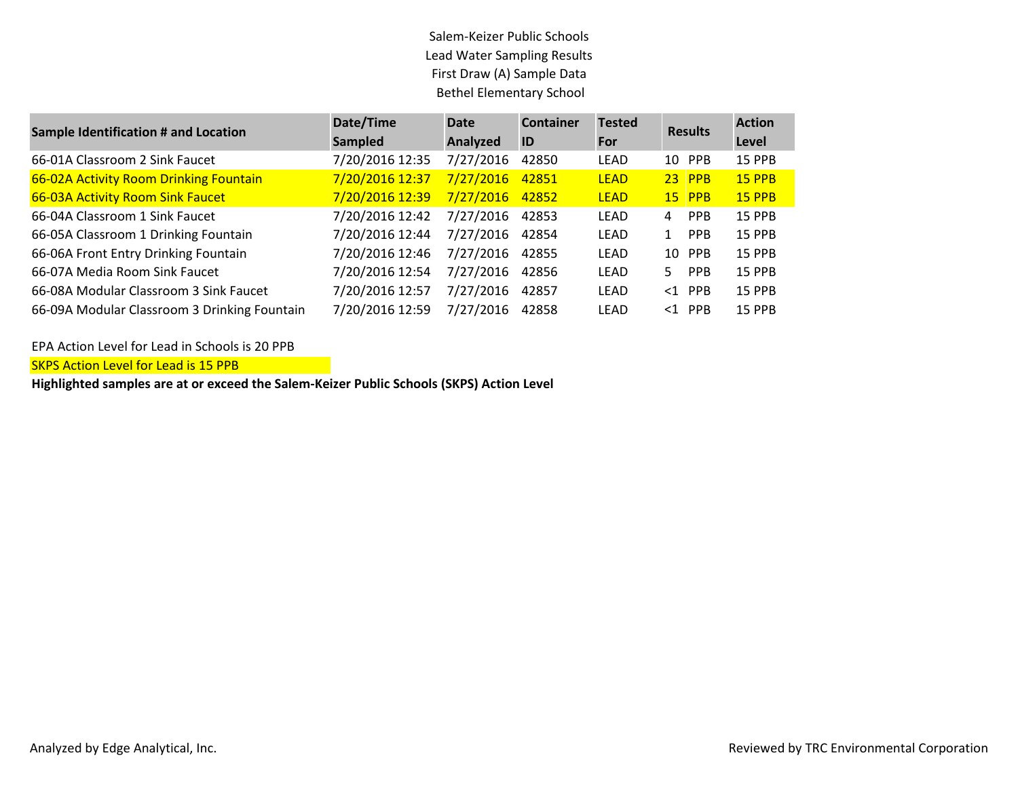## Salem-Keizer Public Schools Lead Water Sampling Results First Draw (A) Sample Data Bethel Elementary School

| <b>Sample Identification # and Location</b>  | Date/Time       | <b>Date</b> | <b>Container</b> | <b>Tested</b> | <b>Results</b>   | <b>Action</b> |
|----------------------------------------------|-----------------|-------------|------------------|---------------|------------------|---------------|
|                                              | <b>Sampled</b>  | Analyzed    | ID               | For           |                  | Level         |
| 66-01A Classroom 2 Sink Faucet               | 7/20/2016 12:35 | 7/27/2016   | 42850            | <b>LEAD</b>   | 10 PPB           | 15 PPB        |
| 66-02A Activity Room Drinking Fountain       | 7/20/2016 12:37 | 7/27/2016   | 42851            | <b>LEAD</b>   | $23$ PPB         | 15 PPB        |
| 66-03A Activity Room Sink Faucet             | 7/20/2016 12:39 | 7/27/2016   | 42852            | <b>LEAD</b>   | $15$ PPB         | 15 PPB        |
| 66-04A Classroom 1 Sink Faucet               | 7/20/2016 12:42 | 7/27/2016   | 42853            | <b>LEAD</b>   | <b>PPB</b><br>4  | 15 PPB        |
| 66-05A Classroom 1 Drinking Fountain         | 7/20/2016 12:44 | 7/27/2016   | 42854            | LEAD          | <b>PPB</b><br>1  | 15 PPB        |
| 66-06A Front Entry Drinking Fountain         | 7/20/2016 12:46 | 7/27/2016   | 42855            | LEAD          | 10 PPB           | 15 PPB        |
| 66-07A Media Room Sink Faucet                | 7/20/2016 12:54 | 7/27/2016   | 42856            | <b>LEAD</b>   | <b>PPB</b><br>5. | 15 PPB        |
| 66-08A Modular Classroom 3 Sink Faucet       | 7/20/2016 12:57 | 7/27/2016   | 42857            | <b>LEAD</b>   | $<1$ PPB         | 15 PPB        |
| 66-09A Modular Classroom 3 Drinking Fountain | 7/20/2016 12:59 | 7/27/2016   | 42858            | LEAD          | $<$ 1 PPB        | 15 PPB        |

EPA Action Level for Lead in Schools is 20 PPB

SKPS Action Level for Lead is 15 PPB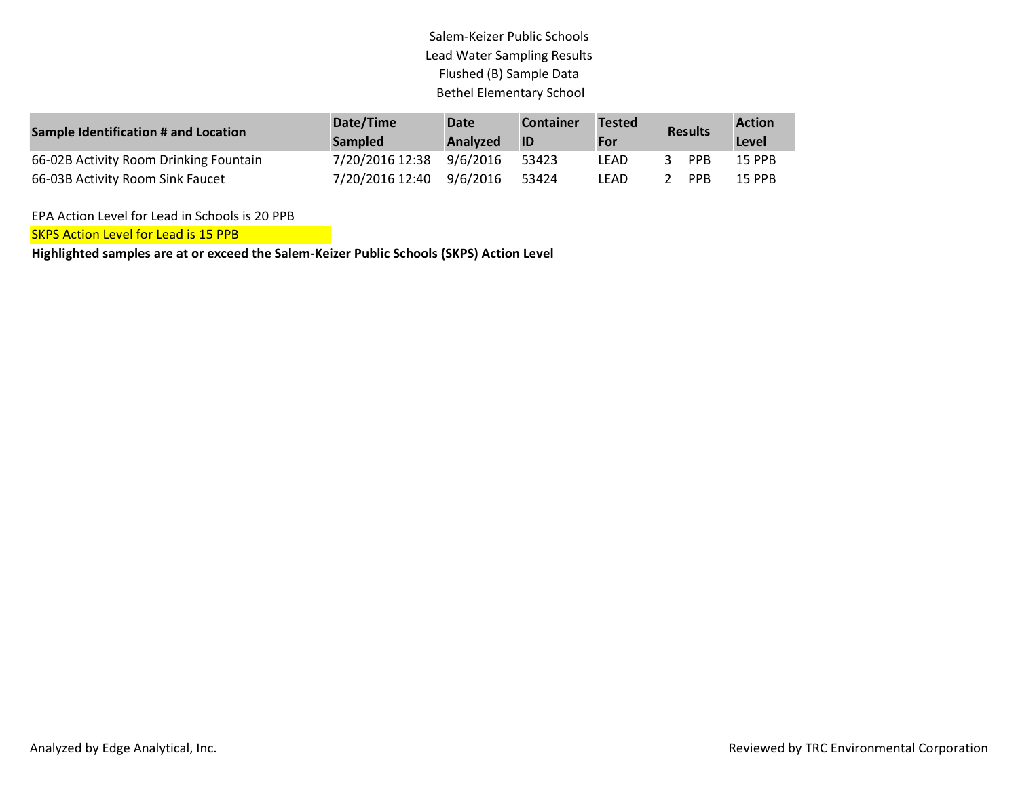## Salem-Keizer Public Schools Lead Water Sampling Results Flushed (B) Sample Data Bethel Elementary School

| <b>Sample Identification # and Location</b> | Date/Time<br><b>Sampled</b> | <b>Date</b><br>Analyzed | <b>Container</b><br>ID | <b>Tested</b><br>For | <b>Results</b> | <b>Action</b><br>Level |
|---------------------------------------------|-----------------------------|-------------------------|------------------------|----------------------|----------------|------------------------|
| 66-02B Activity Room Drinking Fountain      | 7/20/2016 12:38             | 9/6/2016                | 53423                  | LEAD                 | <b>PPB</b>     | 15 PPB                 |
| 66-03B Activity Room Sink Faucet            | 7/20/2016 12:40 9/6/2016    |                         | 53424                  | LEAD                 | <b>PPB</b>     | 15 PPB                 |

EPA Action Level for Lead in Schools is 20 PPB

**SKPS Action Level for Lead is 15 PPB**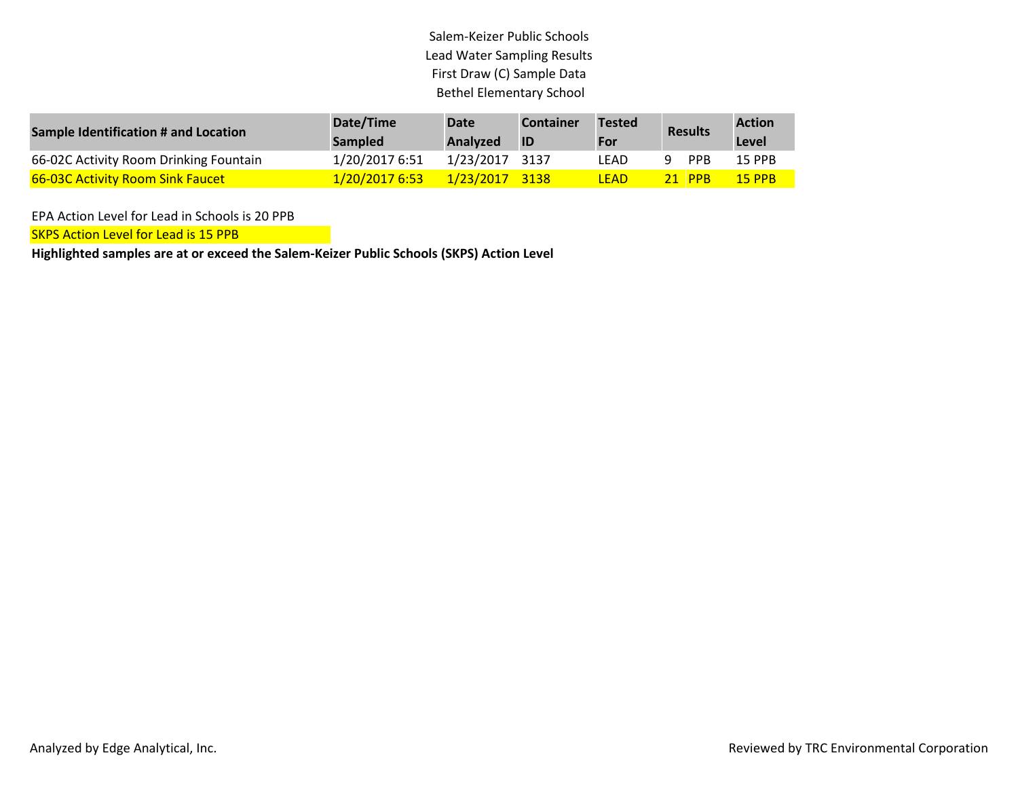## Salem-Keizer Public Schools Lead Water Sampling Results First Draw (C) Sample Data Bethel Elementary School

| Sample Identification # and Location    | Date/Time<br><b>Sampled</b> | Date<br><b>Analyzed</b> | <b>Container</b><br><b>ID</b> | <b>Tested</b><br>For | <b>Results</b> | <b>Action</b><br>Level |
|-----------------------------------------|-----------------------------|-------------------------|-------------------------------|----------------------|----------------|------------------------|
| 66-02C Activity Room Drinking Fountain  | 1/20/2017 6:51              | 1/23/2017 3137          |                               | LEAD                 | <b>PPB</b>     | 15 PPB                 |
| <b>66-03C Activity Room Sink Faucet</b> | 1/20/2017 6:53              | 1/23/2017 3138          |                               | LEAD                 | 21 PPB         | <b>15 PPB</b>          |

EPA Action Level for Lead in Schools is 20 PPB

SKPS Action Level for Lead is 15 PPB